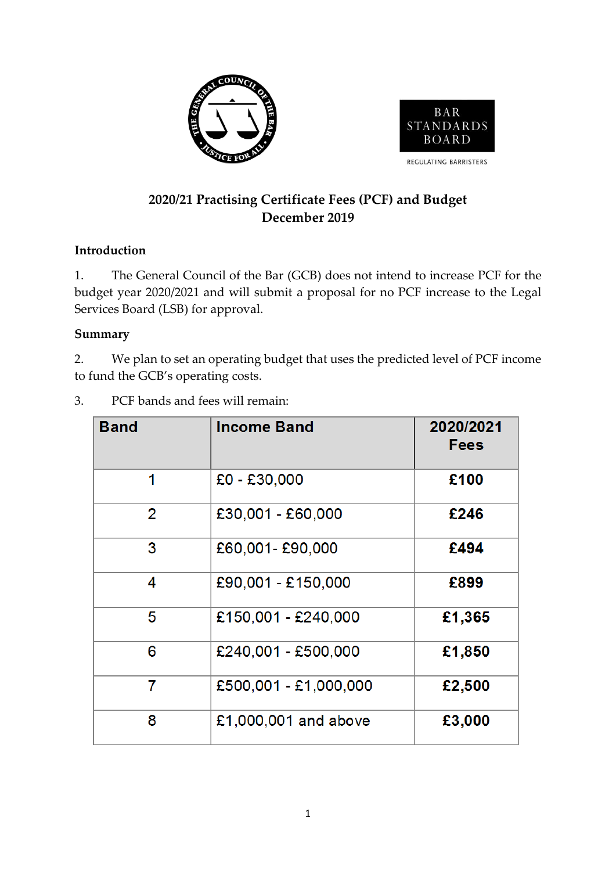



# **2020/21 Practising Certificate Fees (PCF) and Budget December 2019**

## **Introduction**

1. The General Council of the Bar (GCB) does not intend to increase PCF for the budget year 2020/2021 and will submit a proposal for no PCF increase to the Legal Services Board (LSB) for approval.

## **Summary**

2. We plan to set an operating budget that uses the predicted level of PCF income to fund the GCB's operating costs.

| <b>Band</b>    | <b>Income Band</b>    | 2020/2021<br><b>Fees</b> |
|----------------|-----------------------|--------------------------|
| 1              | $£0 - £30,000$        | £100                     |
| $\overline{2}$ | £30,001 - £60,000     | £246                     |
| 3              | £60,001-£90,000       | £494                     |
| 4              | £90,001 - £150,000    | £899                     |
| 5              | £150,001 - £240,000   | £1,365                   |
| 6              | £240,001 - £500,000   | £1,850                   |
| 7              | £500,001 - £1,000,000 | £2,500                   |
| 8              | £1,000,001 and above  | £3,000                   |

3. PCF bands and fees will remain: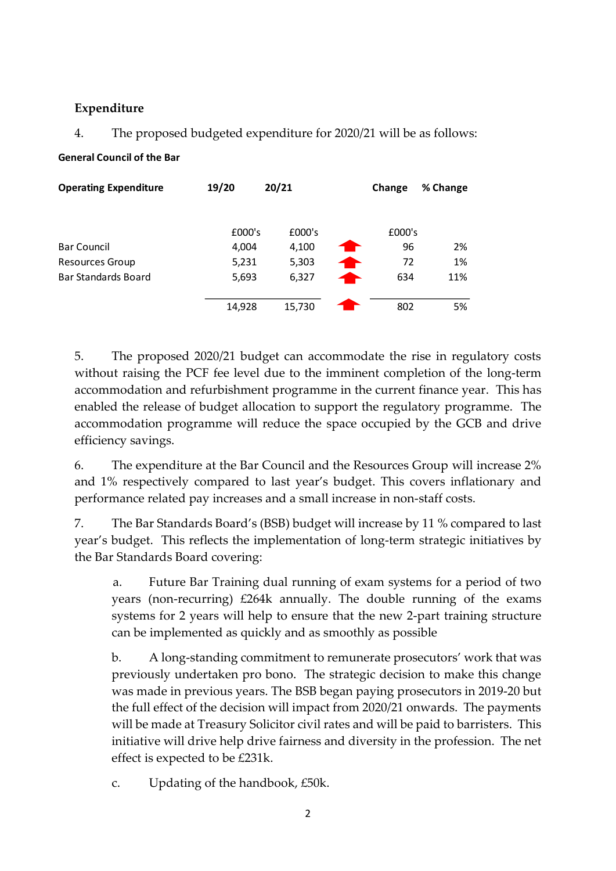### **Expenditure**

### 4. The proposed budgeted expenditure for 2020/21 will be as follows:

#### **General Council of the Bar**

| <b>Operating Expenditure</b> | 19/20  | 20/21  |   | Change | % Change |
|------------------------------|--------|--------|---|--------|----------|
|                              | £000's | £000's |   | £000's |          |
| <b>Bar Council</b>           | 4,004  | 4,100  |   | 96     | 2%       |
| <b>Resources Group</b>       | 5,231  | 5,303  | ▅ | 72     | 1%       |
| <b>Bar Standards Board</b>   | 5,693  | 6,327  |   | 634    | 11%      |
|                              | 14,928 | 15,730 |   | 802    | 5%       |

5. The proposed 2020/21 budget can accommodate the rise in regulatory costs without raising the PCF fee level due to the imminent completion of the long-term accommodation and refurbishment programme in the current finance year. This has enabled the release of budget allocation to support the regulatory programme. The accommodation programme will reduce the space occupied by the GCB and drive efficiency savings.

6. The expenditure at the Bar Council and the Resources Group will increase 2% and 1% respectively compared to last year's budget. This covers inflationary and performance related pay increases and a small increase in non-staff costs.

7. The Bar Standards Board's (BSB) budget will increase by 11 % compared to last year's budget. This reflects the implementation of long-term strategic initiatives by the Bar Standards Board covering:

a. Future Bar Training dual running of exam systems for a period of two years (non-recurring) £264k annually. The double running of the exams systems for 2 years will help to ensure that the new 2-part training structure can be implemented as quickly and as smoothly as possible

b. A long-standing commitment to remunerate prosecutors' work that was previously undertaken pro bono. The strategic decision to make this change was made in previous years. The BSB began paying prosecutors in 2019-20 but the full effect of the decision will impact from 2020/21 onwards. The payments will be made at Treasury Solicitor civil rates and will be paid to barristers. This initiative will drive help drive fairness and diversity in the profession. The net effect is expected to be £231k.

c. Updating of the handbook, £50k.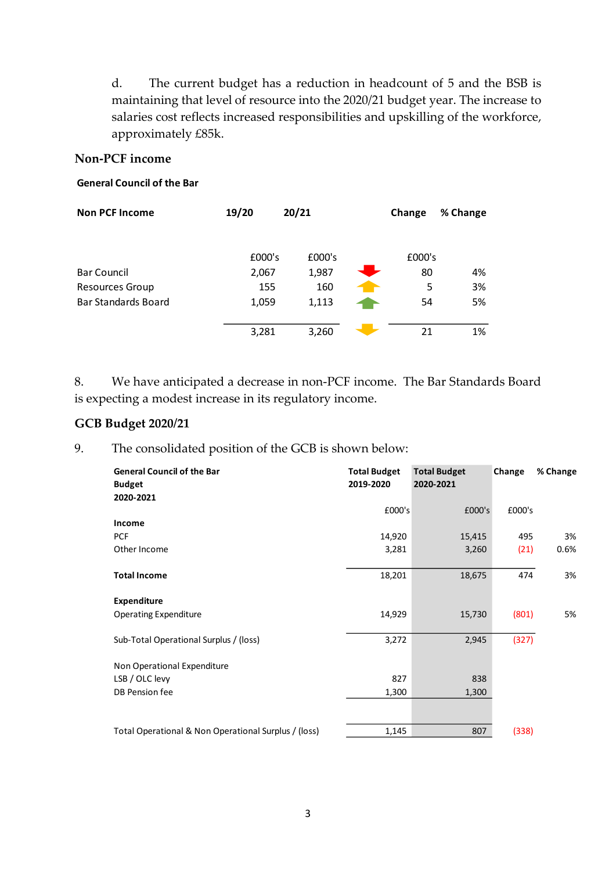d. The current budget has a reduction in headcount of 5 and the BSB is maintaining that level of resource into the 2020/21 budget year. The increase to salaries cost reflects increased responsibilities and upskilling of the workforce, approximately £85k.

#### **Non-PCF income**

#### **General Council of the Bar**

| <b>Non PCF Income</b>      | 19/20  | 20/21  | Change | % Change |
|----------------------------|--------|--------|--------|----------|
|                            | £000's | £000's | £000's |          |
| <b>Bar Council</b>         | 2,067  | 1,987  | 80     | 4%       |
| <b>Resources Group</b>     | 155    | 160    | 5      | 3%       |
| <b>Bar Standards Board</b> | 1,059  | 1,113  | 54     | 5%       |
|                            |        |        |        |          |
|                            | 3,281  | 3,260  | 21     | 1%       |

8. We have anticipated a decrease in non-PCF income. The Bar Standards Board is expecting a modest increase in its regulatory income.

#### **GCB Budget 2020/21**

9. The consolidated position of the GCB is shown below:

| <b>General Council of the Bar</b><br><b>Budget</b><br>2020-2021 | <b>Total Budget</b><br>2019-2020 | <b>Total Budget</b><br>2020-2021 | Change | % Change |
|-----------------------------------------------------------------|----------------------------------|----------------------------------|--------|----------|
|                                                                 | £000's                           | £000's                           | £000's |          |
| Income                                                          |                                  |                                  |        |          |
| <b>PCF</b>                                                      | 14,920                           | 15,415                           | 495    | 3%       |
| Other Income                                                    | 3,281                            | 3,260                            | (21)   | 0.6%     |
|                                                                 |                                  |                                  |        |          |
| <b>Total Income</b>                                             | 18,201                           | 18,675                           | 474    | 3%       |
| <b>Expenditure</b>                                              |                                  |                                  |        |          |
| <b>Operating Expenditure</b>                                    | 14,929                           | 15,730                           | (801)  | 5%       |
| Sub-Total Operational Surplus / (loss)                          | 3,272                            | 2,945                            | (327)  |          |
| Non Operational Expenditure                                     |                                  |                                  |        |          |
| LSB / OLC levy                                                  | 827                              | 838                              |        |          |
| DB Pension fee                                                  | 1,300                            | 1,300                            |        |          |
|                                                                 |                                  |                                  |        |          |
| Total Operational & Non Operational Surplus / (loss)            | 1,145                            | 807                              | (338)  |          |